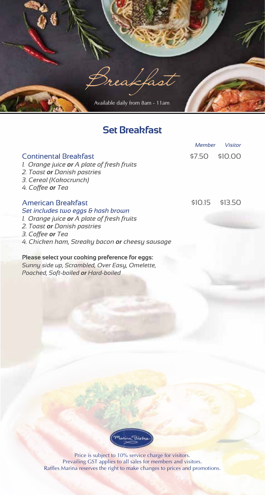

#### **Set Breakfast**

|                                                                                                                                                                                                                     | Member  | Visitor |
|---------------------------------------------------------------------------------------------------------------------------------------------------------------------------------------------------------------------|---------|---------|
| <b>Continental Breakfast</b><br>1. Orange juice <b>or</b> A plate of fresh fruits<br>2. Toast or Danish pastries<br>3. Cereal (Kokocrunch)<br>4. Coffee or Tea                                                      | \$7.50  | \$10.00 |
| American Breakfast<br>Set includes two eggs & hash brown<br>1. Orange juice or A plate of fresh fruits<br>2. Toast <b>or</b> Danish pastries<br>3. Coffee or Tea<br>4. Chicken ham, Streaky bacon or cheesy sausage | \$10.15 | \$13.50 |
| Please select your cooking preference for eggs:                                                                                                                                                                     |         |         |
| Sunny side up, Scrambled, Over Easy, Omelette,                                                                                                                                                                      |         |         |

*Poached, Soft-boiled or Hard-boiled*

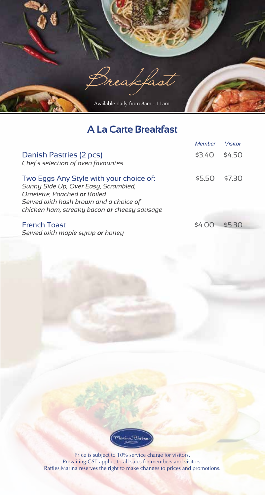

# **A La Carte Breakfast**

|                                                                                                                                                                                                          | Member | Visitor |
|----------------------------------------------------------------------------------------------------------------------------------------------------------------------------------------------------------|--------|---------|
| Danish Pastries (2 pcs)<br>Chef's selection of oven favourites                                                                                                                                           | \$3.40 | \$450   |
| Two Eggs Any Style with your choice of:<br>Sunny Side Up, Over Easy, Scrambled,<br>Omelette, Poached or Boiled<br>Served with hash brown and a choice of<br>chicken ham, streaky bacon or cheesy sausage | \$550  | \$730   |
| <b>French Toast</b><br>Served with maple surup or honey                                                                                                                                                  | 54 OO  | \$5.30  |

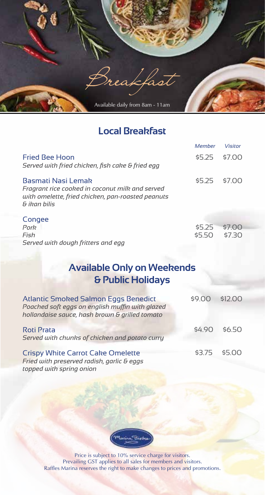

### **Local Breakfast**

|                                                                                                                                            | Member           | <b>Visitor</b>   |
|--------------------------------------------------------------------------------------------------------------------------------------------|------------------|------------------|
| <b>Fried Bee Hoon</b><br>Served with fried chicken, fish cake & fried egg                                                                  | <b>S5 25</b>     | 57 OO            |
| Basmati Nasi Lemak<br>Fragrant rice cooked in coconut milk and served<br>with omelette, fried chicken, pan-roasted peanuts<br>& ikan hilis | \$5.25           | \$7.00           |
| Congee<br>Pork<br>Fish<br>Served with dough fritters and egg                                                                               | \$5.25<br>\$5.50 | \$7.00<br>\$7.30 |

## **Available Only on Weekends & Public Holidays**

| Atlantic Smoked Salmon Eggs Benedict<br>Poached soft eggs on english muffin with glazed<br>hollandaise sauce, hash brown & grilled tomato | \$9.00 | \$12.00       |
|-------------------------------------------------------------------------------------------------------------------------------------------|--------|---------------|
| <b>Roti Prata</b><br>Served with chunks of chicken and potato curry                                                                       | \$4.90 | \$6.50        |
| <b>Crispy White Carrot Cake Omelette</b><br>Fried with preserved radish, garlic & eggs                                                    |        | \$3.75 \$5.00 |

*topped with spring onion*